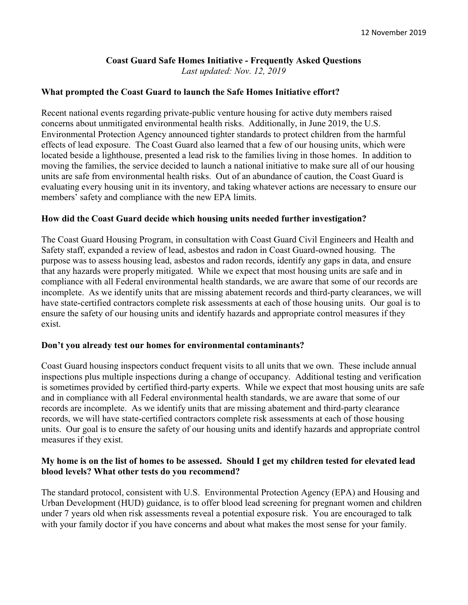# Coast Guard Safe Homes Initiative - Frequently Asked Questions

Last updated: Nov. 12, 2019

#### What prompted the Coast Guard to launch the Safe Homes Initiative effort?

Recent national events regarding private-public venture housing for active duty members raised concerns about unmitigated environmental health risks. Additionally, in June 2019, the U.S. Environmental Protection Agency announced tighter standards to protect children from the harmful effects of lead exposure. The Coast Guard also learned that a few of our housing units, which were located beside a lighthouse, presented a lead risk to the families living in those homes. In addition to moving the families, the service decided to launch a national initiative to make sure all of our housing units are safe from environmental health risks. Out of an abundance of caution, the Coast Guard is evaluating every housing unit in its inventory, and taking whatever actions are necessary to ensure our members' safety and compliance with the new EPA limits.

#### How did the Coast Guard decide which housing units needed further investigation?

The Coast Guard Housing Program, in consultation with Coast Guard Civil Engineers and Health and Safety staff, expanded a review of lead, asbestos and radon in Coast Guard-owned housing. The purpose was to assess housing lead, asbestos and radon records, identify any gaps in data, and ensure that any hazards were properly mitigated. While we expect that most housing units are safe and in compliance with all Federal environmental health standards, we are aware that some of our records are incomplete. As we identify units that are missing abatement records and third-party clearances, we will have state-certified contractors complete risk assessments at each of those housing units. Our goal is to ensure the safety of our housing units and identify hazards and appropriate control measures if they exist.

#### Don't you already test our homes for environmental contaminants?

Coast Guard housing inspectors conduct frequent visits to all units that we own. These include annual inspections plus multiple inspections during a change of occupancy. Additional testing and verification is sometimes provided by certified third-party experts. While we expect that most housing units are safe and in compliance with all Federal environmental health standards, we are aware that some of our records are incomplete. As we identify units that are missing abatement and third-party clearance records, we will have state-certified contractors complete risk assessments at each of those housing units. Our goal is to ensure the safety of our housing units and identify hazards and appropriate control measures if they exist.

#### My home is on the list of homes to be assessed. Should I get my children tested for elevated lead blood levels? What other tests do you recommend?

The standard protocol, consistent with U.S. Environmental Protection Agency (EPA) and Housing and Urban Development (HUD) guidance, is to offer blood lead screening for pregnant women and children under 7 years old when risk assessments reveal a potential exposure risk. You are encouraged to talk with your family doctor if you have concerns and about what makes the most sense for your family.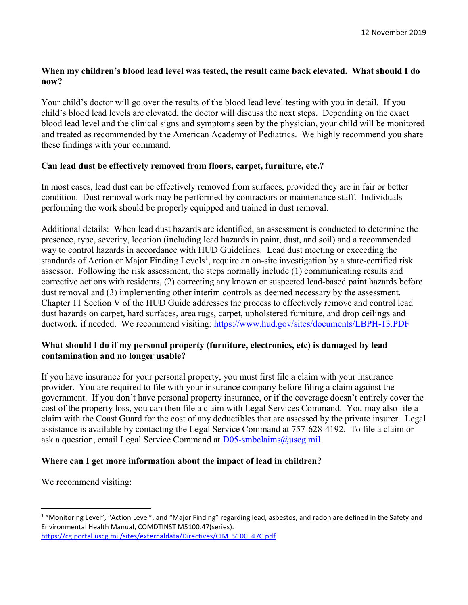# When my children's blood lead level was tested, the result came back elevated. What should I do now?

Your child's doctor will go over the results of the blood lead level testing with you in detail. If you child's blood lead levels are elevated, the doctor will discuss the next steps. Depending on the exact blood lead level and the clinical signs and symptoms seen by the physician, your child will be monitored and treated as recommended by the American Academy of Pediatrics. We highly recommend you share these findings with your command.

# Can lead dust be effectively removed from floors, carpet, furniture, etc.?

In most cases, lead dust can be effectively removed from surfaces, provided they are in fair or better condition. Dust removal work may be performed by contractors or maintenance staff. Individuals performing the work should be properly equipped and trained in dust removal.

Additional details: When lead dust hazards are identified, an assessment is conducted to determine the presence, type, severity, location (including lead hazards in paint, dust, and soil) and a recommended way to control hazards in accordance with HUD Guidelines. Lead dust meeting or exceeding the standards of Action or Major Finding Levels<sup>1</sup>, require an on-site investigation by a state-certified risk assessor. Following the risk assessment, the steps normally include (1) communicating results and corrective actions with residents, (2) correcting any known or suspected lead-based paint hazards before dust removal and (3) implementing other interim controls as deemed necessary by the assessment. Chapter 11 Section V of the HUD Guide addresses the process to effectively remove and control lead dust hazards on carpet, hard surfaces, area rugs, carpet, upholstered furniture, and drop ceilings and ductwork, if needed. We recommend visiting: https://www.hud.gov/sites/documents/LBPH-13.PDF

# What should I do if my personal property (furniture, electronics, etc) is damaged by lead contamination and no longer usable?

If you have insurance for your personal property, you must first file a claim with your insurance provider. You are required to file with your insurance company before filing a claim against the government. If you don't have personal property insurance, or if the coverage doesn't entirely cover the cost of the property loss, you can then file a claim with Legal Services Command. You may also file a claim with the Coast Guard for the cost of any deductibles that are assessed by the private insurer. Legal assistance is available by contacting the Legal Service Command at 757-628-4192. To file a claim or ask a question, email Legal Service Command at **D05-smbclaims@uscg.mil.** 

# Where can I get more information about the impact of lead in children?

We recommend visiting:

 $\overline{a}$ 

<sup>&</sup>lt;sup>1</sup> "Monitoring Level", "Action Level", and "Major Finding" regarding lead, asbestos, and radon are defined in the Safety and Environmental Health Manual, COMDTINST M5100.47(series). https://cg.portal.uscg.mil/sites/externaldata/Directives/CIM\_5100\_47C.pdf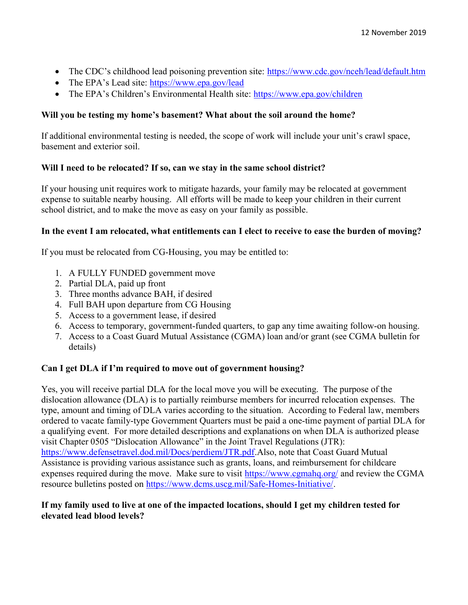- The CDC's childhood lead poisoning prevention site: https://www.cdc.gov/nceh/lead/default.htm
- The EPA's Lead site: https://www.epa.gov/lead
- The EPA's Children's Environmental Health site: https://www.epa.gov/children

# Will you be testing my home's basement? What about the soil around the home?

If additional environmental testing is needed, the scope of work will include your unit's crawl space, basement and exterior soil.

## Will I need to be relocated? If so, can we stay in the same school district?

If your housing unit requires work to mitigate hazards, your family may be relocated at government expense to suitable nearby housing. All efforts will be made to keep your children in their current school district, and to make the move as easy on your family as possible.

## In the event I am relocated, what entitlements can I elect to receive to ease the burden of moving?

If you must be relocated from CG-Housing, you may be entitled to:

- 1. A FULLY FUNDED government move
- 2. Partial DLA, paid up front
- 3. Three months advance BAH, if desired
- 4. Full BAH upon departure from CG Housing
- 5. Access to a government lease, if desired
- 6. Access to temporary, government-funded quarters, to gap any time awaiting follow-on housing.
- 7. Access to a Coast Guard Mutual Assistance (CGMA) loan and/or grant (see CGMA bulletin for details)

#### Can I get DLA if I'm required to move out of government housing?

Yes, you will receive partial DLA for the local move you will be executing. The purpose of the dislocation allowance (DLA) is to partially reimburse members for incurred relocation expenses. The type, amount and timing of DLA varies according to the situation. According to Federal law, members ordered to vacate family-type Government Quarters must be paid a one-time payment of partial DLA for a qualifying event. For more detailed descriptions and explanations on when DLA is authorized please visit Chapter 0505 "Dislocation Allowance" in the Joint Travel Regulations (JTR): https://www.defensetravel.dod.mil/Docs/perdiem/JTR.pdf.Also, note that Coast Guard Mutual Assistance is providing various assistance such as grants, loans, and reimbursement for childcare expenses required during the move. Make sure to visit https://www.cgmahq.org/ and review the CGMA resource bulletins posted on https://www.dcms.uscg.mil/Safe-Homes-Initiative/.

## If my family used to live at one of the impacted locations, should I get my children tested for elevated lead blood levels?